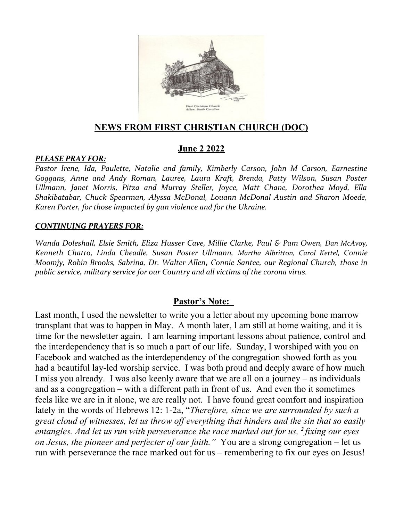

#### **NEWS FROM FIRST CHRISTIAN CHURCH (DOC)**

#### **June 2 2022**

#### *PLEASE PRAY FOR:*

*Pastor Irene, Ida, Paulette, Natalie and family, Kimberly Carson, John M Carson, Earnestine Goggans, Anne and Andy Roman, Lauree, Laura Kraft, Brenda, Patty Wilson, Susan Poster Ullmann, Janet Morris, Pitza and Murray Steller, Joyce, Matt Chane, Dorothea Moyd, Ella Shakibatabar, Chuck Spearman, Alyssa McDonal, Louann McDonal Austin and Sharon Moede, Karen Porter, for those impacted by gun violence and for the Ukraine.*

#### *CONTINUING PRAYERS FOR:*

*Wanda Doleshall, Elsie Smith, Eliza Husser Cave, Millie Clarke, Paul & Pam Owen, Dan McAvoy, Kenneth Chatto, Linda Cheadle, Susan Poster Ullmann, Martha Albritton, Carol Kettel, Connie Moomjy, Robin Brooks, Sabrina, Dr. Walter Allen, Connie Santee, our Regional Church, those in public service, military service for our Country and all victims of the corona virus.* 

#### **Pastor's Note:**

Last month, I used the newsletter to write you a letter about my upcoming bone marrow transplant that was to happen in May. A month later, I am still at home waiting, and it is time for the newsletter again. I am learning important lessons about patience, control and the interdependency that is so much a part of our life. Sunday, I worshiped with you on Facebook and watched as the interdependency of the congregation showed forth as you had a beautiful lay-led worship service. I was both proud and deeply aware of how much I miss you already. I was also keenly aware that we are all on a journey – as individuals and as a congregation – with a different path in front of us. And even tho it sometimes feels like we are in it alone, we are really not. I have found great comfort and inspiration lately in the words of Hebrews 12: 1-2a, "*Therefore, since we are surrounded by such a great cloud of witnesses, let us throw off everything that hinders and the sin that so easily entangles. And let us run with perseverance the race marked out for us, <sup>2</sup> fixing our eyes on Jesus, the pioneer and perfecter of our faith."* You are a strong congregation – let us run with perseverance the race marked out for us – remembering to fix our eyes on Jesus!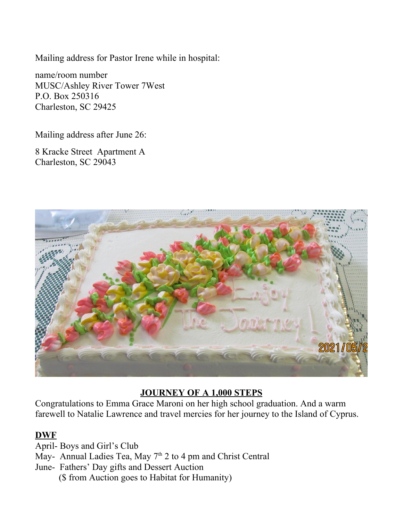Mailing address for Pastor Irene while in hospital:

name/room number MUSC/Ashley River Tower 7West P.O. Box 250316 Charleston, SC 29425

Mailing address after June 26:

8 Kracke Street Apartment A Charleston, SC 29043



## **JOURNEY OF A 1,000 STEPS**

Congratulations to Emma Grace Maroni on her high school graduation. And a warm farewell to Natalie Lawrence and travel mercies for her journey to the Island of Cyprus.

## **DWF**

April- Boys and Girl's Club

May- Annual Ladies Tea, May  $7<sup>th</sup>$  2 to 4 pm and Christ Central

June- Fathers' Day gifts and Dessert Auction

(\$ from Auction goes to Habitat for Humanity)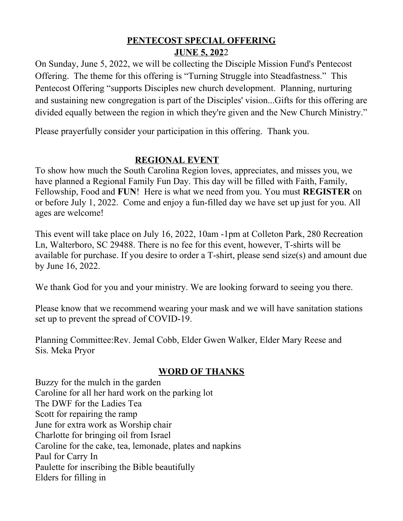### **PENTECOST SPECIAL OFFERING JUNE 5, 202**2

On Sunday, June 5, 2022, we will be collecting the Disciple Mission Fund's Pentecost Offering. The theme for this offering is "Turning Struggle into Steadfastness." This Pentecost Offering "supports Disciples new church development. Planning, nurturing and sustaining new congregation is part of the Disciples' vision...Gifts for this offering are divided equally between the region in which they're given and the New Church Ministry."

Please prayerfully consider your participation in this offering. Thank you.

## **REGIONAL EVENT**

To show how much the South Carolina Region loves, appreciates, and misses you, we have planned a Regional Family Fun Day. This day will be filled with Faith, Family, Fellowship, Food and **FUN**! Here is what we need from you. You must **REGISTER** on or before July 1, 2022. Come and enjoy a fun-filled day we have set up just for you. All ages are welcome!

This event will take place on July 16, 2022, 10am -1pm at Colleton Park, 280 Recreation Ln, Walterboro, SC 29488. There is no fee for this event, however, T-shirts will be available for purchase. If you desire to order a T-shirt, please send size(s) and amount due by June 16, 2022.

We thank God for you and your ministry. We are looking forward to seeing you there.

Please know that we recommend wearing your mask and we will have sanitation stations set up to prevent the spread of COVID-19.

Planning Committee:Rev. Jemal Cobb, Elder Gwen Walker, Elder Mary Reese and Sis. Meka Pryor

# **WORD OF THANKS**

Buzzy for the mulch in the garden Caroline for all her hard work on the parking lot The DWF for the Ladies Tea Scott for repairing the ramp June for extra work as Worship chair Charlotte for bringing oil from Israel Caroline for the cake, tea, lemonade, plates and napkins Paul for Carry In Paulette for inscribing the Bible beautifully Elders for filling in